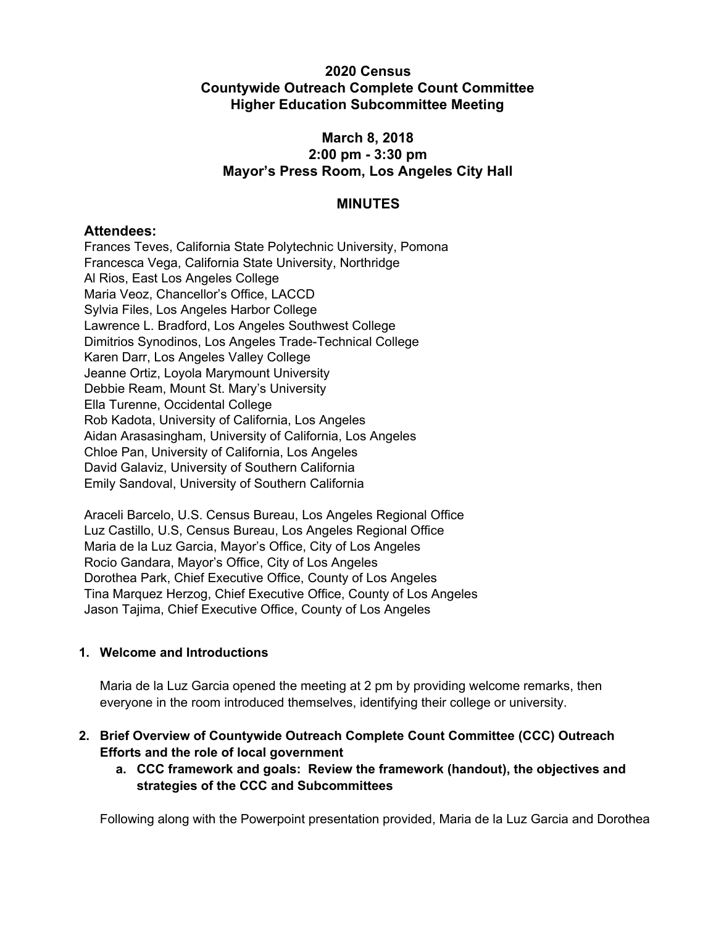# **2020 Census Countywide Outreach Complete Count Committee Higher Education Subcommittee Meeting**

# **March 8, 2018 2:00 pm - 3:30 pm Mayor's Press Room, Los Angeles City Hall**

# **MINUTES**

### **Attendees:**

Frances Teves, California State Polytechnic University, Pomona Francesca Vega, California State University, Northridge Al Rios, East Los Angeles College Maria Veoz, Chancellor's Office, LACCD Sylvia Files, Los Angeles Harbor College Lawrence L. Bradford, Los Angeles Southwest College Dimitrios Synodinos, Los Angeles Trade-Technical College Karen Darr, Los Angeles Valley College Jeanne Ortiz, Loyola Marymount University Debbie Ream, Mount St. Mary's University Ella Turenne, Occidental College Rob Kadota, University of California, Los Angeles Aidan Arasasingham, University of California, Los Angeles Chloe Pan, University of California, Los Angeles David Galaviz, University of Southern California Emily Sandoval, University of Southern California

Araceli Barcelo, U.S. Census Bureau, Los Angeles Regional Office Luz Castillo, U.S, Census Bureau, Los Angeles Regional Office Maria de la Luz Garcia, Mayor's Office, City of Los Angeles Rocio Gandara, Mayor's Office, City of Los Angeles Dorothea Park, Chief Executive Office, County of Los Angeles Tina Marquez Herzog, Chief Executive Office, County of Los Angeles Jason Tajima, Chief Executive Office, County of Los Angeles

#### **1. Welcome and Introductions**

Maria de la Luz Garcia opened the meeting at 2 pm by providing welcome remarks, then everyone in the room introduced themselves, identifying their college or university.

- **2. Brief Overview of Countywide Outreach Complete Count Committee (CCC) Outreach Efforts and the role of local government**
	- **a. CCC framework and goals: Review the framework (handout), the objectives and strategies of the CCC and Subcommittees**

Following along with the Powerpoint presentation provided, Maria de la Luz Garcia and Dorothea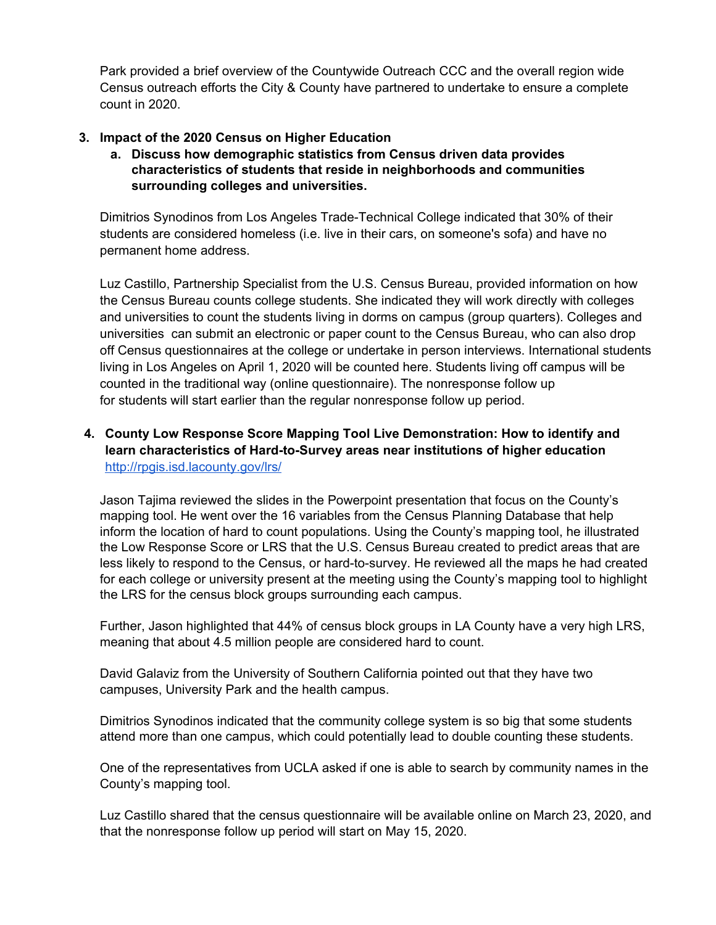Park provided a brief overview of the Countywide Outreach CCC and the overall region wide Census outreach efforts the City & County have partnered to undertake to ensure a complete count in 2020.

# **3. Impact of the 2020 Census on Higher Education**

**a. Discuss how demographic statistics from Census driven data provides characteristics of students that reside in neighborhoods and communities surrounding colleges and universities.**

Dimitrios Synodinos from Los Angeles Trade-Technical College indicated that 30% of their students are considered homeless (i.e. live in their cars, on someone's sofa) and have no permanent home address.

Luz Castillo, Partnership Specialist from the U.S. Census Bureau, provided information on how the Census Bureau counts college students. She indicated they will work directly with colleges and universities to count the students living in dorms on campus (group quarters). Colleges and universities can submit an electronic or paper count to the Census Bureau, who can also drop off Census questionnaires at the college or undertake in person interviews. International students living in Los Angeles on April 1, 2020 will be counted here. Students living off campus will be counted in the traditional way (online questionnaire). The nonresponse follow up for students will start earlier than the regular nonresponse follow up period.

# **4. County Low Response Score Mapping Tool Live Demonstration: How to identify and learn characteristics of Hard-to-Survey areas near institutions of higher education** <http://rpgis.isd.lacounty.gov/lrs/>

Jason Tajima reviewed the slides in the Powerpoint presentation that focus on the County's mapping tool. He went over the 16 variables from the Census Planning Database that help inform the location of hard to count populations. Using the County's mapping tool, he illustrated the Low Response Score or LRS that the U.S. Census Bureau created to predict areas that are less likely to respond to the Census, or hard-to-survey. He reviewed all the maps he had created for each college or university present at the meeting using the County's mapping tool to highlight the LRS for the census block groups surrounding each campus.

Further, Jason highlighted that 44% of census block groups in LA County have a very high LRS, meaning that about 4.5 million people are considered hard to count.

David Galaviz from the University of Southern California pointed out that they have two campuses, University Park and the health campus.

Dimitrios Synodinos indicated that the community college system is so big that some students attend more than one campus, which could potentially lead to double counting these students.

One of the representatives from UCLA asked if one is able to search by community names in the County's mapping tool.

Luz Castillo shared that the census questionnaire will be available online on March 23, 2020, and that the nonresponse follow up period will start on May 15, 2020.